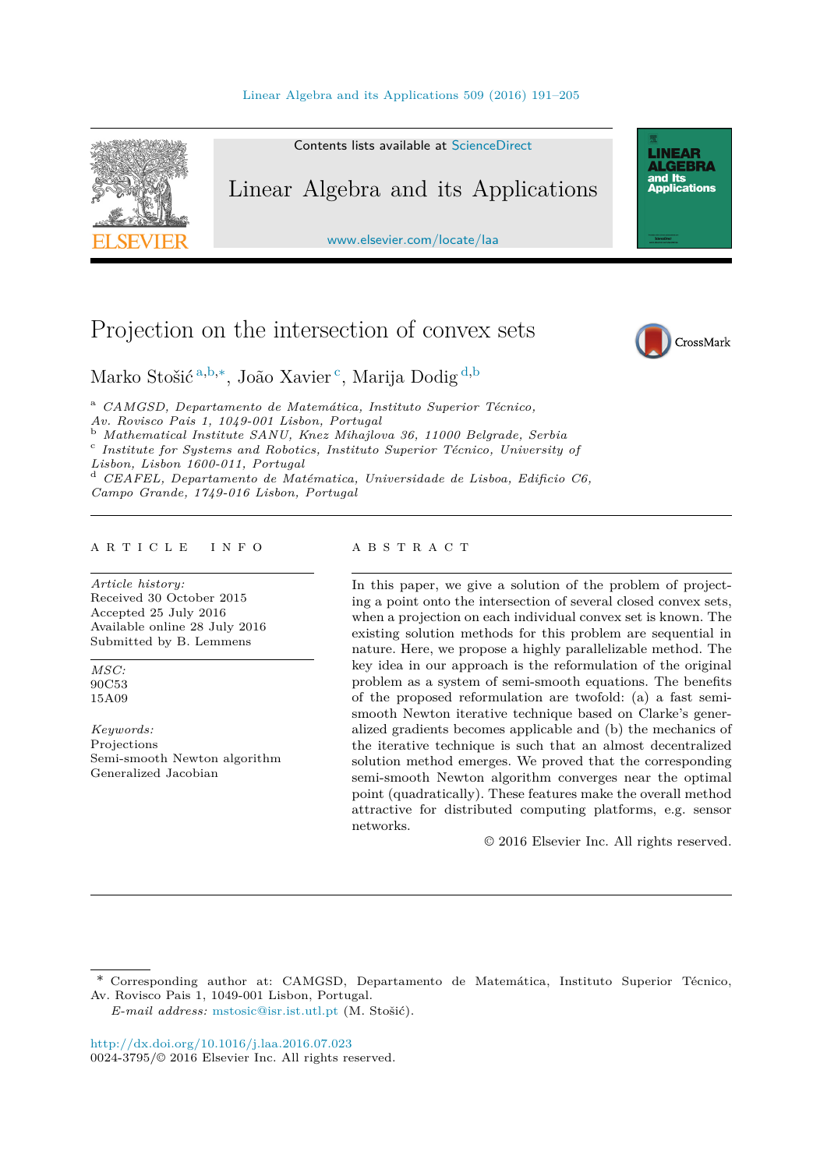

Contents lists available at [ScienceDirect](http://www.ScienceDirect.com/)

# Linear Algebra and its Applications

[www.elsevier.com/locate/laa](http://www.elsevier.com/locate/laa)

# Projection on the intersection of convex sets



**LINEAR<br>ALGEBRA** and Its ana na<br>Applications

Marko Stošić <sup>a</sup>*,*b*,*∗, João Xavier <sup>c</sup>, Marija Dodig <sup>d</sup>*,*<sup>b</sup>

<sup>a</sup> *CAMGSD, Departamento de Matemática, Instituto Superior Técnico,*  $\sigma$  Mathematical Institute SANU, Knez Mihajlova 36, 11000 Belgrade, Serbia  $\sigma$  Institute for Systems and Robotics, Instituto Superior Técnico, University of

*Lisbon, Lisbon 1600-011, Portugal* <sup>d</sup> *CEAFEL, Departamento de Matématica, Universidade de Lisboa, Edificio C6, Campo Grande, 1749-016 Lisbon, Portugal*

#### A R T I C L E I N F O A B S T R A C T

*Article history:* Received 30 October 2015 Accepted 25 July 2016 Available online 28 July 2016 Submitted by B. Lemmens

*MSC:* 90C53 15A09

*Keywords:* Projections Semi-smooth Newton algorithm Generalized Jacobian

In this paper, we give a solution of the problem of projecting a point onto the intersection of several closed convex sets, when a projection on each individual convex set is known. The existing solution methods for this problem are sequential in nature. Here, we propose a highly parallelizable method. The key idea in our approach is the reformulation of the original problem as a system of semi-smooth equations. The benefits of the proposed reformulation are twofold: (a) a fast semismooth Newton iterative technique based on Clarke's generalized gradients becomes applicable and (b) the mechanics of the iterative technique is such that an almost decentralized solution method emerges. We proved that the corresponding semi-smooth Newton algorithm converges near the optimal point (quadratically). These features make the overall method attractive for distributed computing platforms, e.g. sensor networks.

© 2016 Elsevier Inc. All rights reserved.

\* Corresponding author at: CAMGSD, Departamento de Matemática, Instituto Superior Técnico, Av. Rovisco Pais 1, 1049-001 Lisbon, Portugal.

*E-mail address:* [mstosic@isr.ist.utl.pt](mailto:mstosic@isr.ist.utl.pt) (M. Stošić).

<http://dx.doi.org/10.1016/j.laa.2016.07.023> 0024-3795/© 2016 Elsevier Inc. All rights reserved.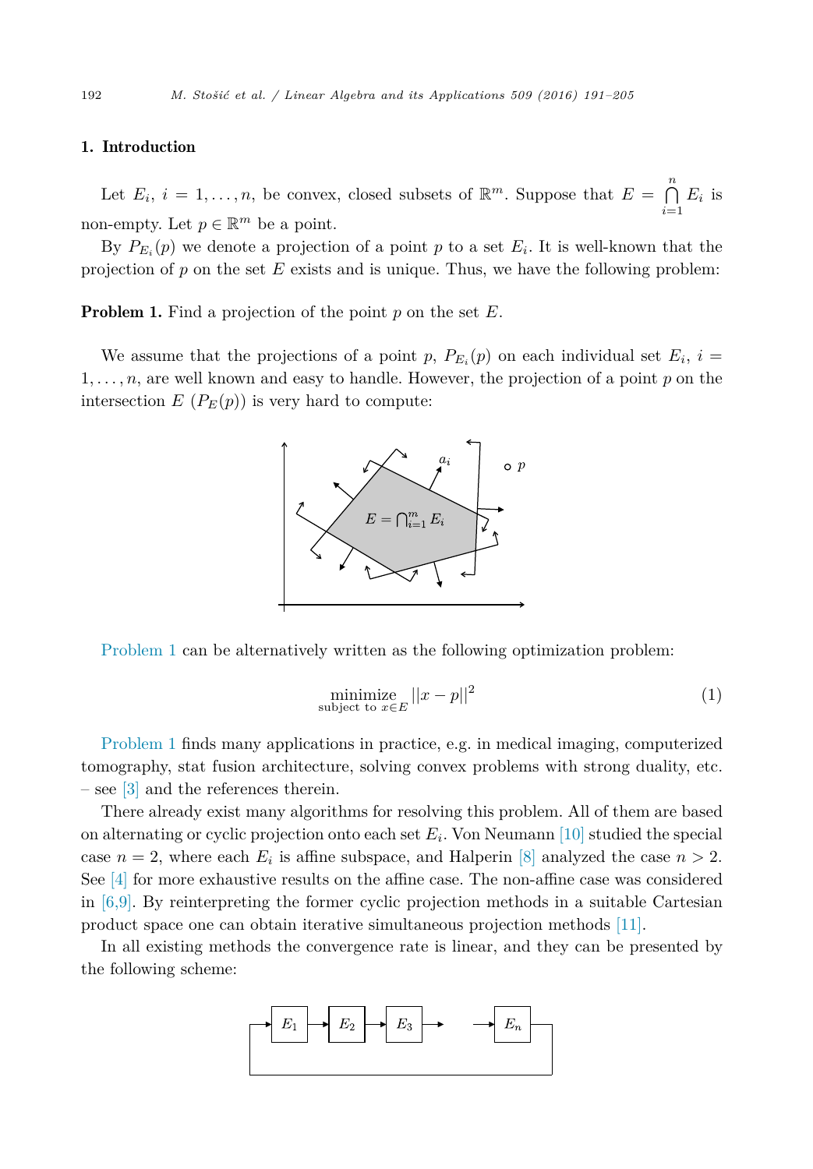#### <span id="page-1-0"></span>1. Introduction

Let  $E_i$ ,  $i = 1, \ldots, n$ , be convex, closed subsets of  $\mathbb{R}^m$ . Suppose that  $E = \bigcap_{i=1}^{n}$  $\bigcap_{i=1} E_i$  is non-empty. Let  $p \in \mathbb{R}^m$  be a point.

By  $P_{E_i}(p)$  we denote a projection of a point p to a set  $E_i$ . It is well-known that the projection of *p* on the set *E* exists and is unique. Thus, we have the following problem:

Problem 1. Find a projection of the point *p* on the set *E*.

We assume that the projections of a point p,  $P_{E_i}(p)$  on each individual set  $E_i$ ,  $i =$ 1*, ..., n*, are well known and easy to handle. However, the projection of a point *p* on the intersection  $E(P_E(p))$  is very hard to compute:



Problem 1 can be alternatively written as the following optimization problem:

$$
\underset{\text{subject to } x \in E}{\text{minimize}} ||x - p||^2 \tag{1}
$$

Problem 1 finds many applications in practice, e.g. in medical imaging, computerized tomography, stat fusion architecture, solving convex problems with strong duality, etc. – see [\[3\]](#page-14-0) and the references therein.

There already exist many algorithms for resolving this problem. All of them are based on alternating or cyclic projection onto each set  $E_i$ . Von Neumann [\[10\]](#page-14-0) studied the special case  $n = 2$ , where each  $E_i$  is affine subspace, and Halperin [\[8\]](#page-14-0) analyzed the case  $n > 2$ . See [\[4\]](#page-14-0) for more exhaustive results on the affine case. The non-affine case was considered in  $[6,9]$ . By reinterpreting the former cyclic projection methods in a suitable Cartesian product space one can obtain iterative simultaneous projection methods [\[11\].](#page-14-0)

In all existing methods the convergence rate is linear, and they can be presented by the following scheme:

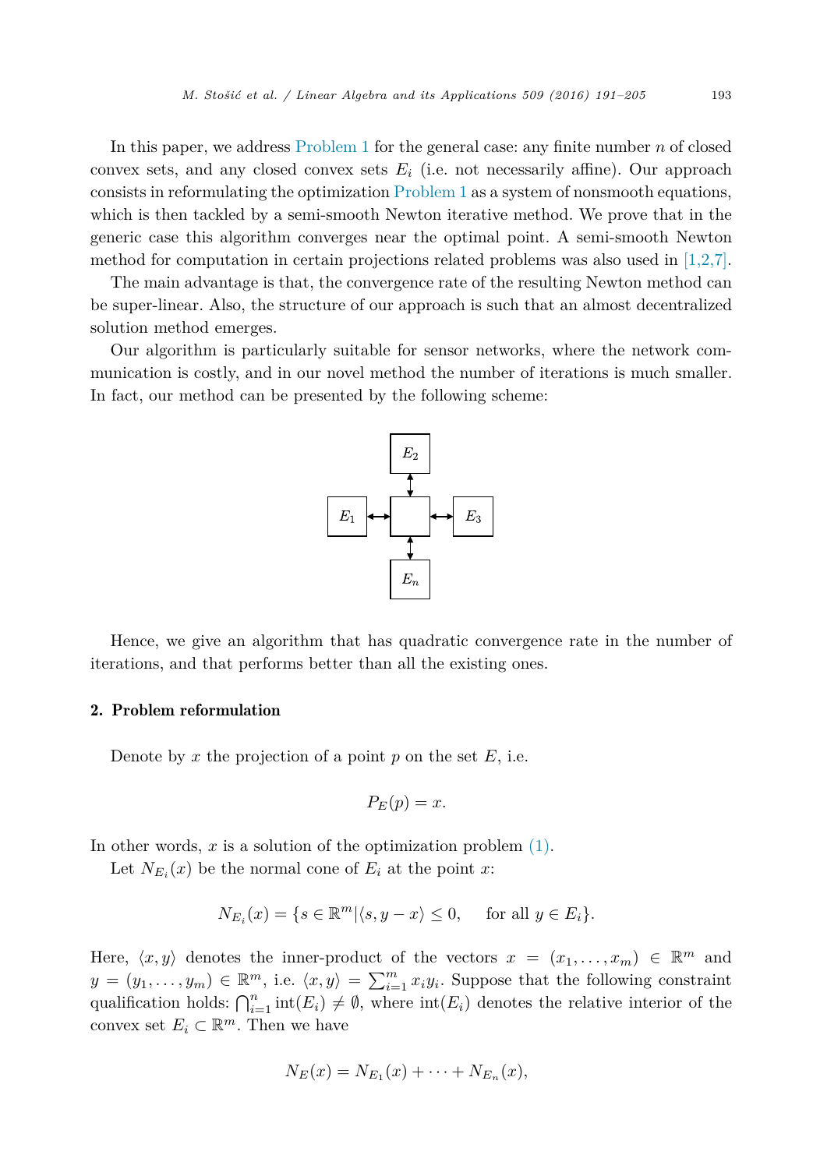<span id="page-2-0"></span>In this paper, we address [Problem 1](#page-1-0) for the general case: any finite number *n* of closed convex sets, and any closed convex sets  $E_i$  (i.e. not necessarily affine). Our approach consists in reformulating the optimization [Problem 1](#page-1-0) as a system of nonsmooth equations, which is then tackled by a semi-smooth Newton iterative method. We prove that in the generic case this algorithm converges near the optimal point. A semi-smooth Newton method for computation in certain projections related problems was also used in  $[1,2,7]$ .

The main advantage is that, the convergence rate of the resulting Newton method can be super-linear. Also, the structure of our approach is such that an almost decentralized solution method emerges.

Our algorithm is particularly suitable for sensor networks, where the network communication is costly, and in our novel method the number of iterations is much smaller. In fact, our method can be presented by the following scheme:



Hence, we give an algorithm that has quadratic convergence rate in the number of iterations, and that performs better than all the existing ones.

#### 2. Problem reformulation

Denote by  $x$  the projection of a point  $p$  on the set  $E$ , i.e.

$$
P_E(p) = x.
$$

In other words, *x* is a solution of the optimization problem [\(1\).](#page-1-0)

Let  $N_{E_i}(x)$  be the normal cone of  $E_i$  at the point  $x$ :

$$
N_{E_i}(x) = \{ s \in \mathbb{R}^m | \langle s, y - x \rangle \le 0, \quad \text{ for all } y \in E_i \}.
$$

Here,  $\langle x, y \rangle$  denotes the inner-product of the vectors  $x = (x_1, \ldots, x_m) \in \mathbb{R}^m$  and  $y = (y_1, \ldots, y_m) \in \mathbb{R}^m$ , i.e.  $\langle x, y \rangle = \sum_{i=1}^m x_i y_i$ . Suppose that the following constraint qualification holds:  $\bigcap_{i=1}^n \text{int}(E_i) \neq \emptyset$ , where  $\text{int}(E_i)$  denotes the relative interior of the convex set  $E_i \subset \mathbb{R}^m$ . Then we have

$$
N_E(x) = N_{E_1}(x) + \cdots + N_{E_n}(x),
$$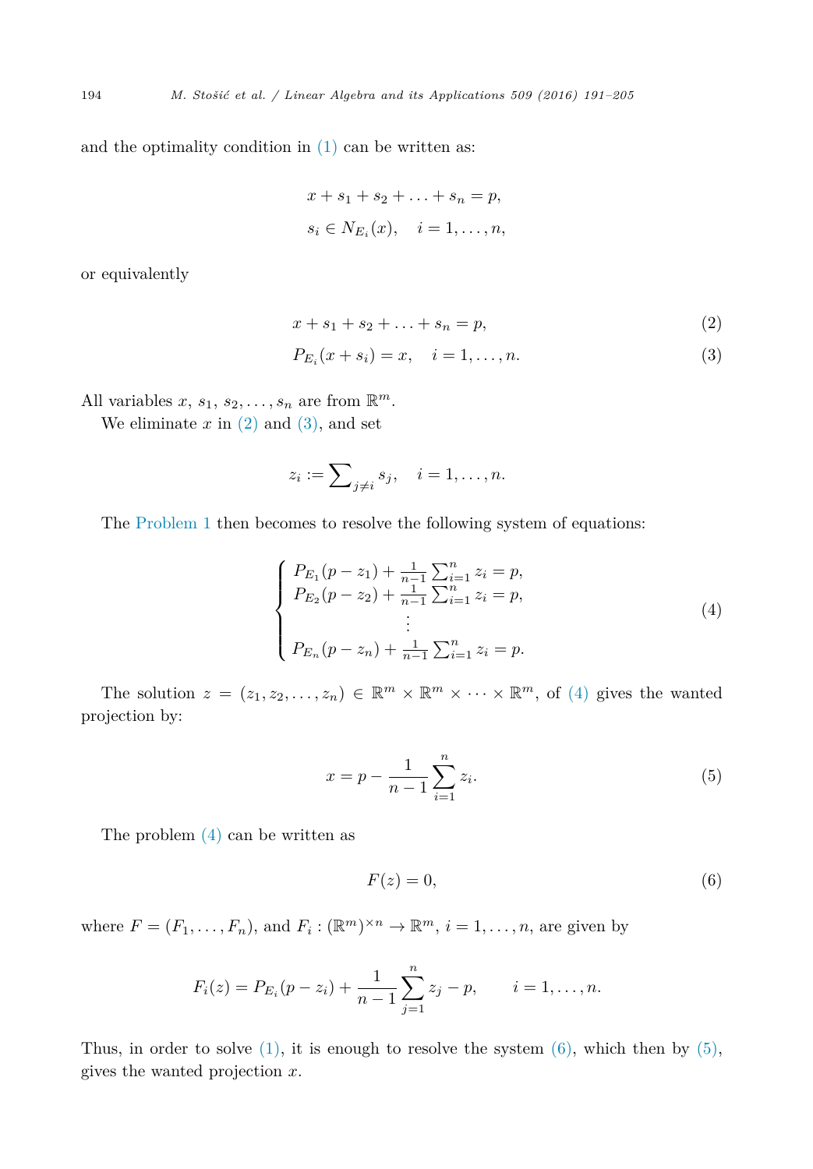and the optimality condition in  $(1)$  can be written as:

$$
x + s_1 + s_2 + \ldots + s_n = p,
$$
  

$$
s_i \in N_{E_i}(x), \quad i = 1, \ldots, n,
$$

or equivalently

$$
x + s_1 + s_2 + \ldots + s_n = p,\t\t(2)
$$

$$
P_{E_i}(x + s_i) = x, \quad i = 1, \dots, n. \tag{3}
$$

All variables  $x, s_1, s_2, \ldots, s_n$  are from  $\mathbb{R}^m$ .

We eliminate  $x$  in  $(2)$  and  $(3)$ , and set

$$
z_i := \sum\nolimits_{j \neq i} s_j, \quad i = 1, \dots, n.
$$

The [Problem 1](#page-1-0) then becomes to resolve the following system of equations:

$$
\begin{cases}\nP_{E_1}(p-z_1) + \frac{1}{n-1} \sum_{i=1}^n z_i = p, \\
P_{E_2}(p-z_2) + \frac{1}{n-1} \sum_{i=1}^n z_i = p, \\
\vdots \\
P_{E_n}(p-z_n) + \frac{1}{n-1} \sum_{i=1}^n z_i = p.\n\end{cases} \tag{4}
$$

The solution  $z = (z_1, z_2, \ldots, z_n) \in \mathbb{R}^m \times \mathbb{R}^m \times \cdots \times \mathbb{R}^m$ , of (4) gives the wanted projection by:

$$
x = p - \frac{1}{n-1} \sum_{i=1}^{n} z_i.
$$
 (5)

The problem (4) can be written as

$$
F(z) = 0,\t\t(6)
$$

where  $F = (F_1, \ldots, F_n)$ , and  $F_i : (\mathbb{R}^m)^{\times n} \to \mathbb{R}^m$ ,  $i = 1, \ldots, n$ , are given by

$$
F_i(z) = P_{E_i}(p - z_i) + \frac{1}{n-1} \sum_{j=1}^n z_j - p, \qquad i = 1, \dots, n.
$$

Thus, in order to solve  $(1)$ , it is enough to resolve the system  $(6)$ , which then by  $(5)$ , gives the wanted projection *x*.

<span id="page-3-0"></span>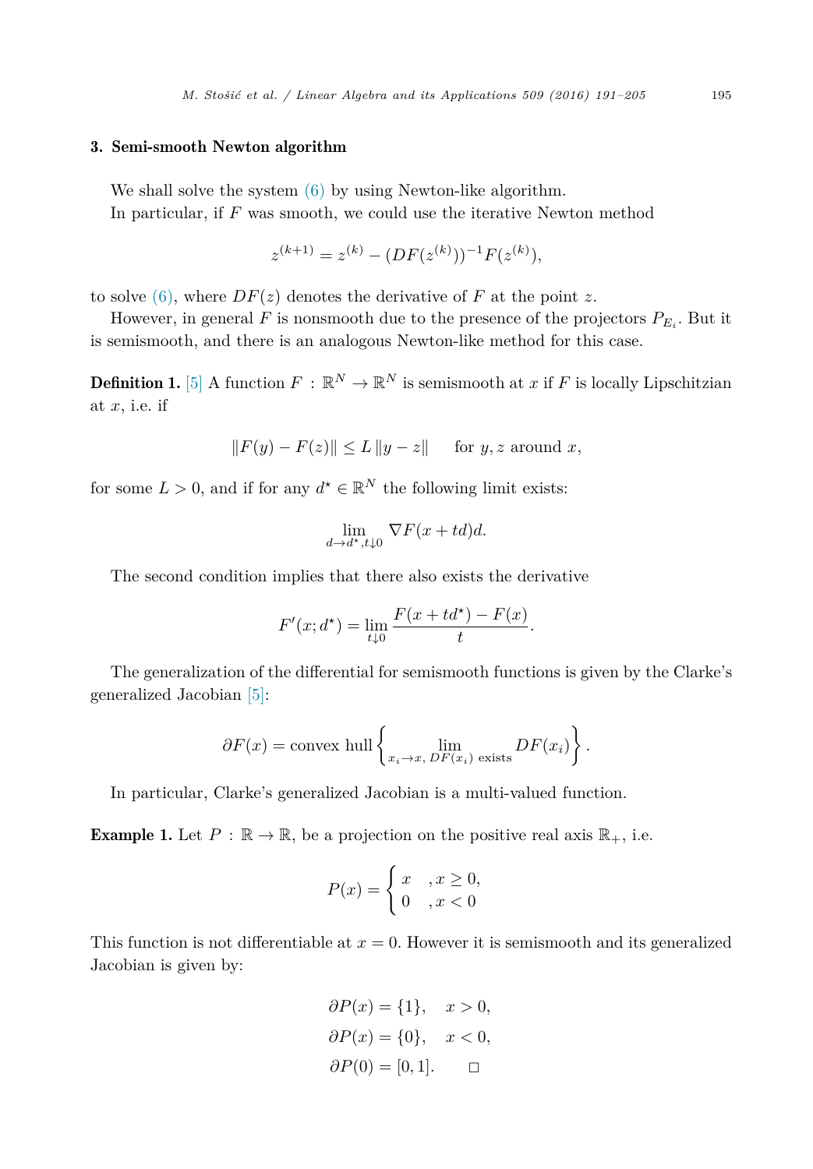#### 3. Semi-smooth Newton algorithm

We shall solve the system  $(6)$  by using Newton-like algorithm. In particular, if *F* was smooth, we could use the iterative Newton method

$$
z^{(k+1)} = z^{(k)} - (DF(z^{(k)}))^{-1}F(z^{(k)}),
$$

to solve  $(6)$ , where  $DF(z)$  denotes the derivative of F at the point z.

However, in general F is nonsmooth due to the presence of the projectors  $P_{E_i}$ . But it is semismooth, and there is an analogous Newton-like method for this case.

**Definition 1.** [\[5\]](#page-14-0) A function  $F : \mathbb{R}^N \to \mathbb{R}^N$  is semismooth at *x* if *F* is locally Lipschitzian at *x*, i.e. if

$$
||F(y) - F(z)|| \le L ||y - z|| \quad \text{for } y, z \text{ around } x,
$$

for some  $L > 0$ , and if for any  $d^* \in \mathbb{R}^N$  the following limit exists:

$$
\lim_{d \to d^*, t \downarrow 0} \nabla F(x + td)d.
$$

The second condition implies that there also exists the derivative

$$
F'(x; d^*) = \lim_{t \downarrow 0} \frac{F(x + td^*) - F(x)}{t}.
$$

The generalization of the differential for semismooth functions is given by the Clarke's generalized Jacobian [\[5\]:](#page-14-0)

$$
\partial F(x) = \text{convex hull} \left\{ \lim_{x_i \to x, \, DF(x_i) \text{ exists}} DF(x_i) \right\}.
$$

In particular, Clarke's generalized Jacobian is a multi-valued function.

**Example 1.** Let  $P : \mathbb{R} \to \mathbb{R}$ , be a projection on the positive real axis  $\mathbb{R}_+$ , i.e.

$$
P(x) = \begin{cases} x & , x \ge 0, \\ 0 & , x < 0 \end{cases}
$$

This function is not differentiable at  $x = 0$ . However it is semismooth and its generalized Jacobian is given by:

$$
\partial P(x) = \{1\}, \quad x > 0,
$$
  

$$
\partial P(x) = \{0\}, \quad x < 0,
$$
  

$$
\partial P(0) = [0, 1]. \quad \Box
$$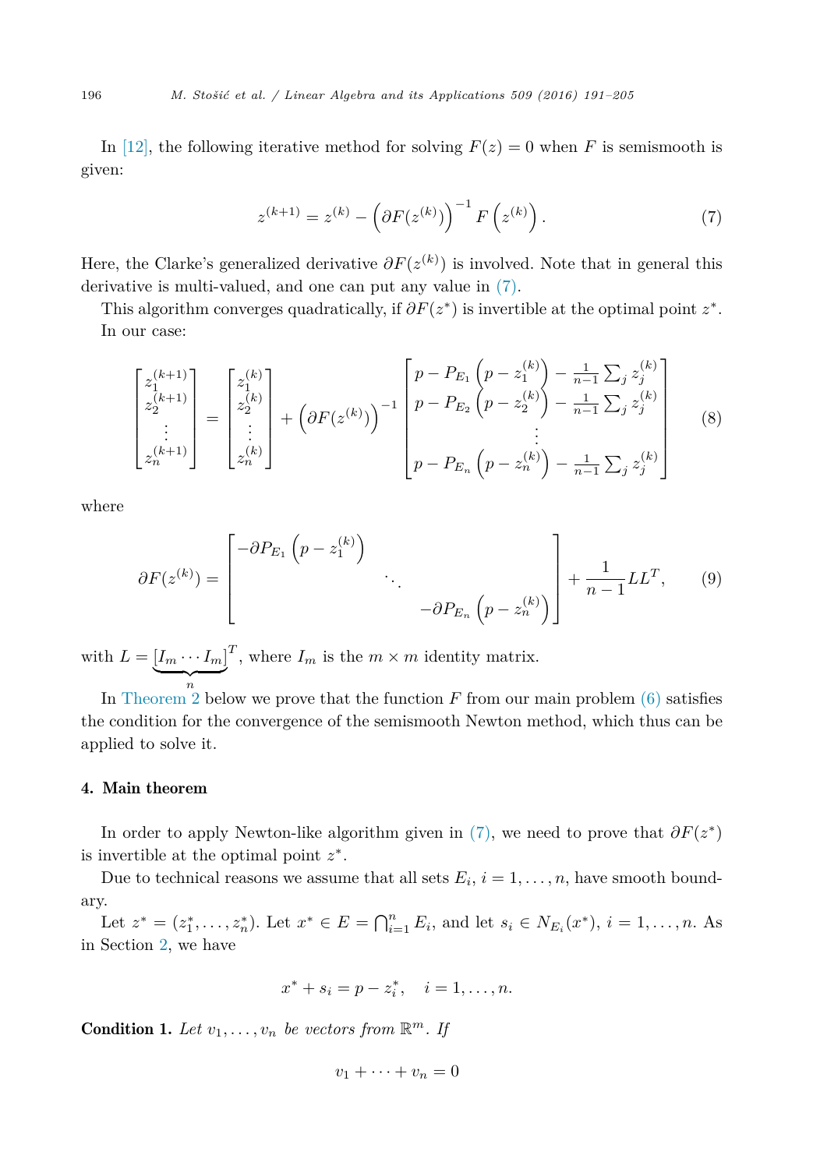<span id="page-5-0"></span>In [\[12\],](#page-14-0) the following iterative method for solving  $F(z) = 0$  when *F* is semismooth is given:

$$
z^{(k+1)} = z^{(k)} - \left(\partial F(z^{(k)})\right)^{-1} F\left(z^{(k)}\right). \tag{7}
$$

Here, the Clarke's generalized derivative  $\partial F(z^{(k)})$  is involved. Note that in general this derivative is multi-valued, and one can put any value in (7).

This algorithm converges quadratically, if *∂F*(*z*∗) is invertible at the optimal point *z*∗. In our case:

$$
\begin{bmatrix} z_1^{(k+1)} \\ z_2^{(k+1)} \\ \vdots \\ z_n^{(k+1)} \end{bmatrix} = \begin{bmatrix} z_1^{(k)} \\ z_2^{(k)} \\ \vdots \\ z_n^{(k)} \end{bmatrix} + \left( \partial F(z^{(k)}) \right)^{-1} \begin{bmatrix} p - P_{E_1} \left( p - z_1^{(k)} \right) - \frac{1}{n-1} \sum_j z_j^{(k)} \\ p - P_{E_2} \left( p - z_2^{(k)} \right) - \frac{1}{n-1} \sum_j z_j^{(k)} \\ \vdots \\ p - P_{E_n} \left( p - z_n^{(k)} \right) - \frac{1}{n-1} \sum_j z_j^{(k)} \end{bmatrix}
$$
(8)

where

$$
\partial F(z^{(k)}) = \begin{bmatrix} -\partial P_{E_1} \left( p - z_1^{(k)} \right) & & \\ & \ddots & \\ & & -\partial P_{E_n} \left( p - z_n^{(k)} \right) \end{bmatrix} + \frac{1}{n-1} L L^T, \qquad (9)
$$

with  $L = [I_m \cdots I_m]^T$ , where  $I_m$  is the  $m \times m$  identity matrix. *<sup>n</sup>*

In [Theorem 2](#page-6-0) below we prove that the function *F* from our main problem [\(6\)](#page-3-0) satisfies the condition for the convergence of the semismooth Newton method, which thus can be applied to solve it.

#### 4. Main theorem

In order to apply Newton-like algorithm given in (7), we need to prove that *∂F*(*z*∗) is invertible at the optimal point *z*∗.

Due to technical reasons we assume that all sets  $E_i$ ,  $i = 1, \ldots, n$ , have smooth boundary.

Let  $z^* = (z_1^*, \ldots, z_n^*)$ . Let  $x^* \in E = \bigcap_{i=1}^n E_i$ , and let  $s_i \in N_{E_i}(x^*)$ ,  $i = 1, \ldots, n$ . As in Section [2,](#page-2-0) we have

$$
x^* + s_i = p - z_i^*, \quad i = 1, \dots, n.
$$

Condition 1. Let  $v_1, \ldots, v_n$  be vectors from  $\mathbb{R}^m$ . If

$$
v_1 + \cdots + v_n = 0
$$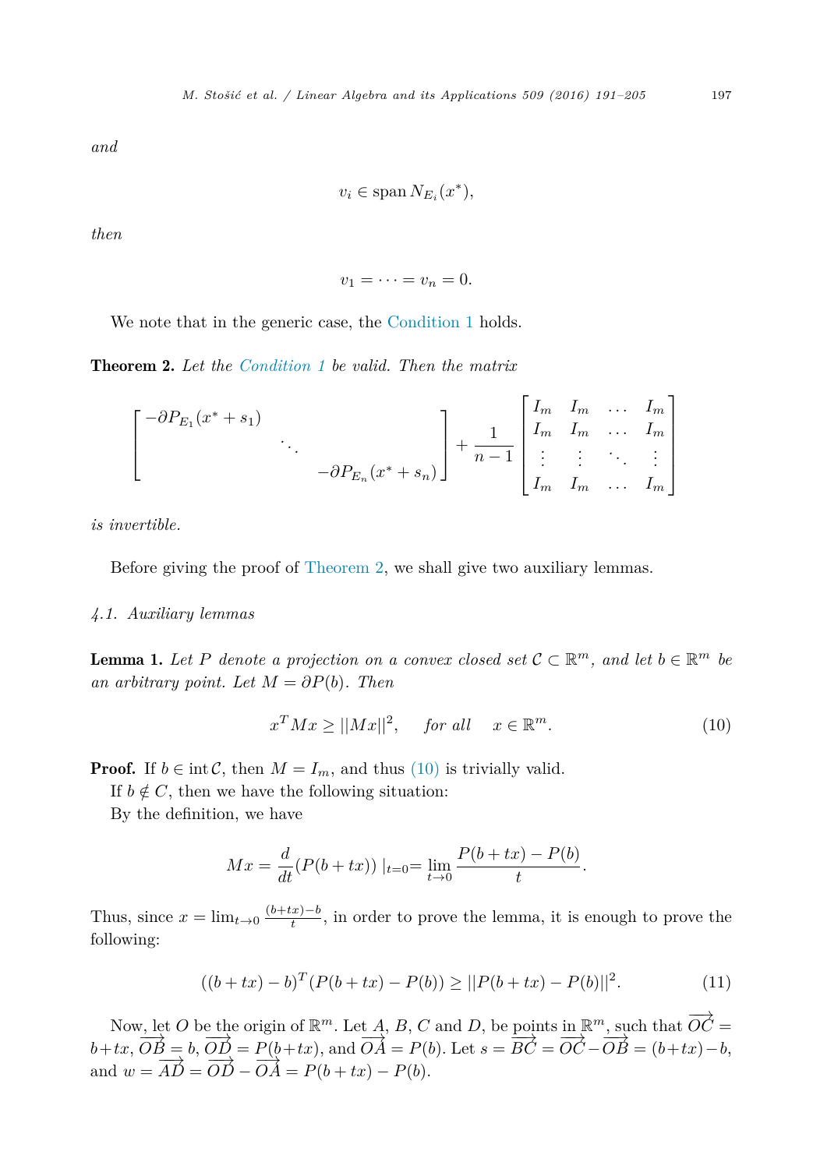<span id="page-6-0"></span>*and*

$$
v_i \in \text{span}\, N_{E_i}(x^*),
$$

*then*

$$
v_1=\cdots=v_n=0.
$$

We note that in the generic case, the [Condition](#page-5-0) 1 holds.

Theorem 2. *Let the [Condition](#page-5-0) 1 be valid. Then the matrix*

$$
\begin{bmatrix} -\partial P_{E_1}(x^* + s_1) \\ \cdot & \cdot \\ -\partial P_{E_n}(x^* + s_n) \end{bmatrix} + \frac{1}{n-1} \begin{bmatrix} I_m & I_m & \dots & I_m \\ I_m & I_m & \dots & I_m \\ \vdots & \vdots & \ddots & \vdots \\ I_m & I_m & \dots & I_m \end{bmatrix}
$$

*is invertible.*

Before giving the proof of Theorem 2, we shall give two auxiliary lemmas.

#### *4.1. Auxiliary lemmas*

**Lemma 1.** Let P denote a projection on a convex closed set  $C \subset \mathbb{R}^m$ , and let  $b \in \mathbb{R}^m$  be *an arbitrary point. Let*  $M = \partial P(b)$ *. Then* 

$$
x^T M x \ge ||Mx||^2, \quad \text{for all} \quad x \in \mathbb{R}^m. \tag{10}
$$

**Proof.** If  $b \in \text{int } C$ , then  $M = I_m$ , and thus (10) is trivially valid.

If  $b \notin C$ , then we have the following situation:

By the definition, we have

$$
Mx = \frac{d}{dt}(P(b+tx))\big|_{t=0} = \lim_{t \to 0} \frac{P(b+tx) - P(b)}{t}.
$$

Thus, since  $x = \lim_{t\to 0} \frac{(b+tx)-b}{t}$ , in order to prove the lemma, it is enough to prove the following:

$$
((b+tx)-b)^{T}(P(b+tx)-P(b)) \ge ||P(b+tx)-P(b)||^{2}.
$$
 (11)

Now, let *O* be the origin of  $\mathbb{R}^m$ . Let *A*, *B*, *C* and *D*, be points in  $\mathbb{R}^m$ , such that  $\overrightarrow{OC}$  =  $b+tx, \overrightarrow{OB} = b, \overrightarrow{OD} = P(b+tx), \text{ and } \overrightarrow{OA} = P(b).$  Let  $s = \overrightarrow{BC} = \overrightarrow{OC} - \overrightarrow{OB} = (b+tx)-b$ , and  $w = \overrightarrow{AD} = \overrightarrow{OD} - \overrightarrow{OA} = P(b + tx) - P(b).$ 

 $\overline{a}$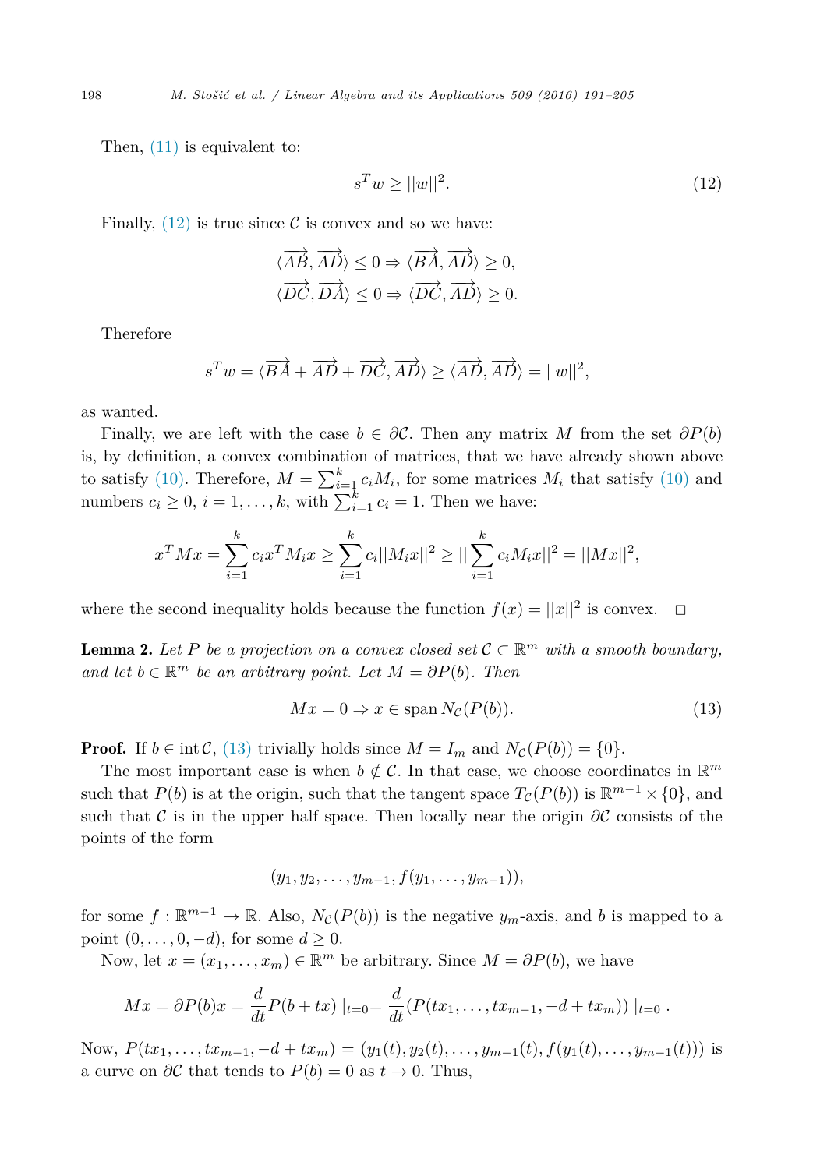Then,  $(11)$  is equivalent to:

$$
s^T w \ge ||w||^2. \tag{12}
$$

Finally,  $(12)$  is true since C is convex and so we have:

$$
\langle \overrightarrow{AB}, \overrightarrow{AD} \rangle \le 0 \Rightarrow \langle \overrightarrow{BA}, \overrightarrow{AD} \rangle \ge 0,
$$
  

$$
\langle \overrightarrow{DC}, \overrightarrow{DA} \rangle \le 0 \Rightarrow \langle \overrightarrow{DC}, \overrightarrow{AD} \rangle \ge 0.
$$

Therefore

$$
s^T w = \langle \overrightarrow{BA} + \overrightarrow{AD} + \overrightarrow{DC}, \overrightarrow{AD} \rangle \ge \langle \overrightarrow{AD}, \overrightarrow{AD} \rangle = ||w||^2,
$$

as wanted.

Finally, we are left with the case  $b \in \partial C$ . Then any matrix M from the set  $\partial P(b)$ is, by definition, a convex combination of matrices, that we have already shown above to satisfy [\(10\).](#page-6-0) Therefore,  $M = \sum_{i=1}^{k} c_i M_i$ , for some matrices  $M_i$  that satisfy [\(10\)](#page-6-0) and numbers  $c_i \geq 0$ ,  $i = 1, \ldots, k$ , with  $\sum_{i=1}^{k} c_i = 1$ . Then we have:

$$
x^T M x = \sum_{i=1}^k c_i x^T M_i x \ge \sum_{i=1}^k c_i ||M_i x||^2 \ge ||\sum_{i=1}^k c_i M_i x||^2 = ||Mx||^2,
$$

where the second inequality holds because the function  $f(x) = ||x||^2$  is convex.  $\Box$ 

**Lemma 2.** Let P be a projection on a convex closed set  $C \subset \mathbb{R}^m$  with a smooth boundary,  $and$   $let$   $b \in \mathbb{R}^m$  *be an arbitrary point.*  $Let$   $M = \partial P(b)$ *. Then* 

$$
Mx = 0 \Rightarrow x \in \text{span } N_{\mathcal{C}}(P(b)).
$$
\n(13)

**Proof.** If  $b \in \text{int } C$ , (13) trivially holds since  $M = I_m$  and  $N_c(P(b)) = \{0\}.$ 

The most important case is when  $b \notin \mathcal{C}$ . In that case, we choose coordinates in  $\mathbb{R}^m$ such that *P*(*b*) is at the origin, such that the tangent space  $T_c(P(b))$  is  $\mathbb{R}^{m-1} \times \{0\}$ , and such that *C* is in the upper half space. Then locally near the origin  $\partial C$  consists of the points of the form

$$
(y_1, y_2, \ldots, y_{m-1}, f(y_1, \ldots, y_{m-1})),
$$

for some  $f : \mathbb{R}^{m-1} \to \mathbb{R}$ . Also,  $N_c(P(b))$  is the negative  $y_m$ -axis, and b is mapped to a point  $(0, \ldots, 0, -d)$ , for some  $d \geq 0$ .

Now, let  $x = (x_1, \ldots, x_m) \in \mathbb{R}^m$  be arbitrary. Since  $M = \partial P(b)$ , we have

$$
Mx = \partial P(b)x = \frac{d}{dt}P(b+tx) \mid_{t=0} = \frac{d}{dt}(P(tx_1, \dots, tx_{m-1}, -d + tx_m)) \mid_{t=0}.
$$

Now,  $P(tx_1, \ldots, tx_{m-1}, -d+tx_m) = (y_1(t), y_2(t), \ldots, y_{m-1}(t), f(y_1(t), \ldots, y_{m-1}(t)))$  is a curve on  $\partial C$  that tends to  $P(b) = 0$  as  $t \to 0$ . Thus,

<span id="page-7-0"></span>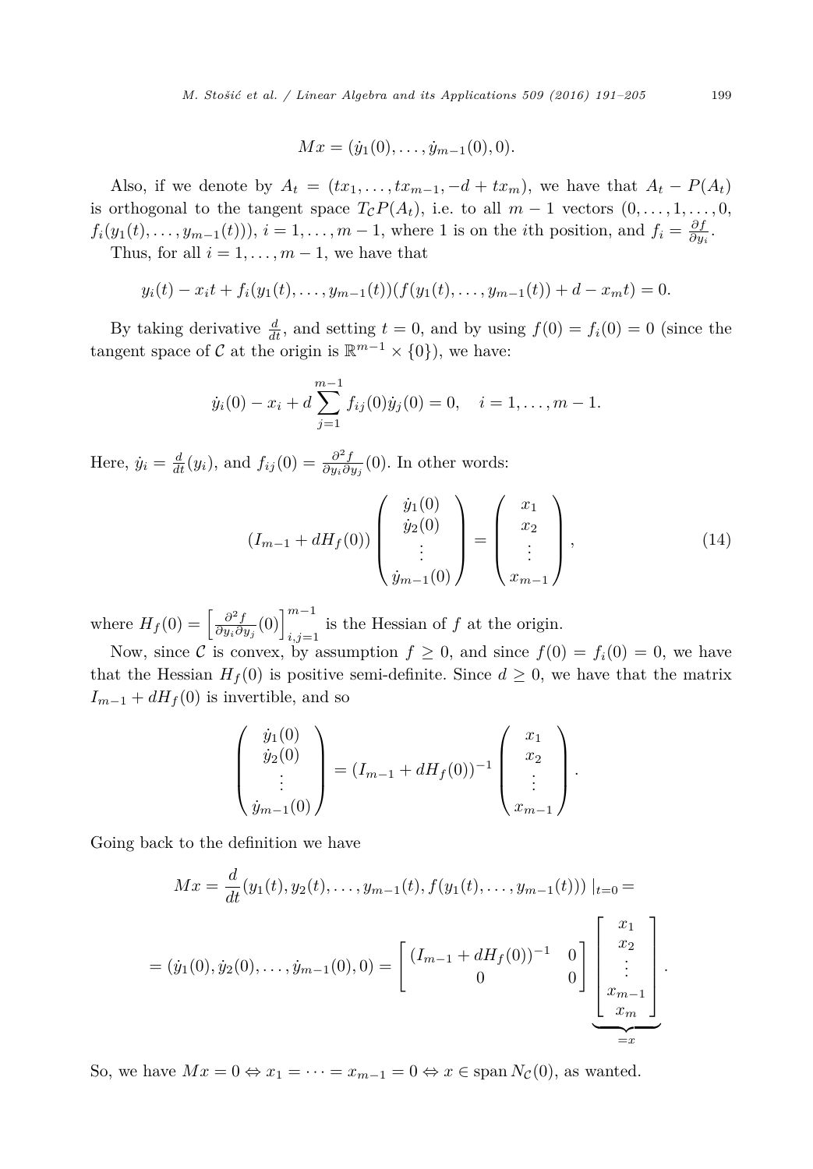$$
Mx = (\dot{y}_1(0), \ldots, \dot{y}_{m-1}(0), 0).
$$

Also, if we denote by  $A_t = (tx_1, \ldots, tx_{m-1}, -d + tx_m)$ , we have that  $A_t - P(A_t)$ is orthogonal to the tangent space  $T_cP(A_t)$ , i.e. to all  $m-1$  vectors  $(0,\ldots,1,\ldots,0)$ ,  $f_i(y_1(t),..., y_{m-1}(t))$ ,  $i = 1,..., m-1$ , where 1 is on the *i*th position, and  $f_i = \frac{\partial f}{\partial y_i}$ . Thus, for all  $i = 1, \ldots, m - 1$ , we have that

$$
y_i(t) - x_i t + f_i(y_1(t),..., y_{m-1}(t))(f(y_1(t),..., y_{m-1}(t)) + d - x_m t) = 0.
$$

By taking derivative  $\frac{d}{dt}$ , and setting  $t = 0$ , and by using  $f(0) = f_i(0) = 0$  (since the tangent space of C at the origin is  $\mathbb{R}^{m-1} \times \{0\}$ , we have:

$$
\dot{y}_i(0) - x_i + d \sum_{j=1}^{m-1} f_{ij}(0)\dot{y}_j(0) = 0, \quad i = 1, ..., m-1.
$$

Here,  $\dot{y}_i = \frac{d}{dt}(y_i)$ , and  $f_{ij}(0) = \frac{\partial^2 f}{\partial y_i \partial y_j}(0)$ . In other words:

$$
(I_{m-1} + dH_f(0)) \begin{pmatrix} \dot{y}_1(0) \\ \dot{y}_2(0) \\ \vdots \\ \dot{y}_{m-1}(0) \end{pmatrix} = \begin{pmatrix} x_1 \\ x_2 \\ \vdots \\ x_{m-1} \end{pmatrix}, \tag{14}
$$

where  $H_f(0) = \left[\frac{\partial^2 f}{\partial y_i \partial y_j}(0)\right]_{i,j=1}^{m-1}$  is the Hessian of *f* at the origin.

Now, since C is convex, by assumption  $f \geq 0$ , and since  $f(0) = f_i(0) = 0$ , we have that the Hessian  $H_f(0)$  is positive semi-definite. Since  $d \geq 0$ , we have that the matrix  $I_{m-1} + dH_f(0)$  is invertible, and so

$$
\begin{pmatrix} \dot{y}_1(0) \\ \dot{y}_2(0) \\ \vdots \\ \dot{y}_{m-1}(0) \end{pmatrix} = (I_{m-1} + dH_f(0))^{-1} \begin{pmatrix} x_1 \\ x_2 \\ \vdots \\ x_{m-1} \end{pmatrix}.
$$

Going back to the definition we have

$$
Mx = \frac{d}{dt}(y_1(t), y_2(t), \dots, y_{m-1}(t), f(y_1(t), \dots, y_{m-1}(t)))|_{t=0} =
$$
  
=  $(\dot{y}_1(0), \dot{y}_2(0), \dots, \dot{y}_{m-1}(0), 0) = \begin{bmatrix} (I_{m-1} + dH_f(0))^{-1} & 0 \\ 0 & 0 \end{bmatrix} \begin{bmatrix} x_1 \\ x_2 \\ \vdots \\ x_{m-1} \\ \frac{x_m}{x_m} \end{bmatrix}.$ 

So, we have  $Mx = 0 \Leftrightarrow x_1 = \cdots = x_{m-1} = 0 \Leftrightarrow x \in \text{span } N_{\mathcal{C}}(0)$ , as wanted.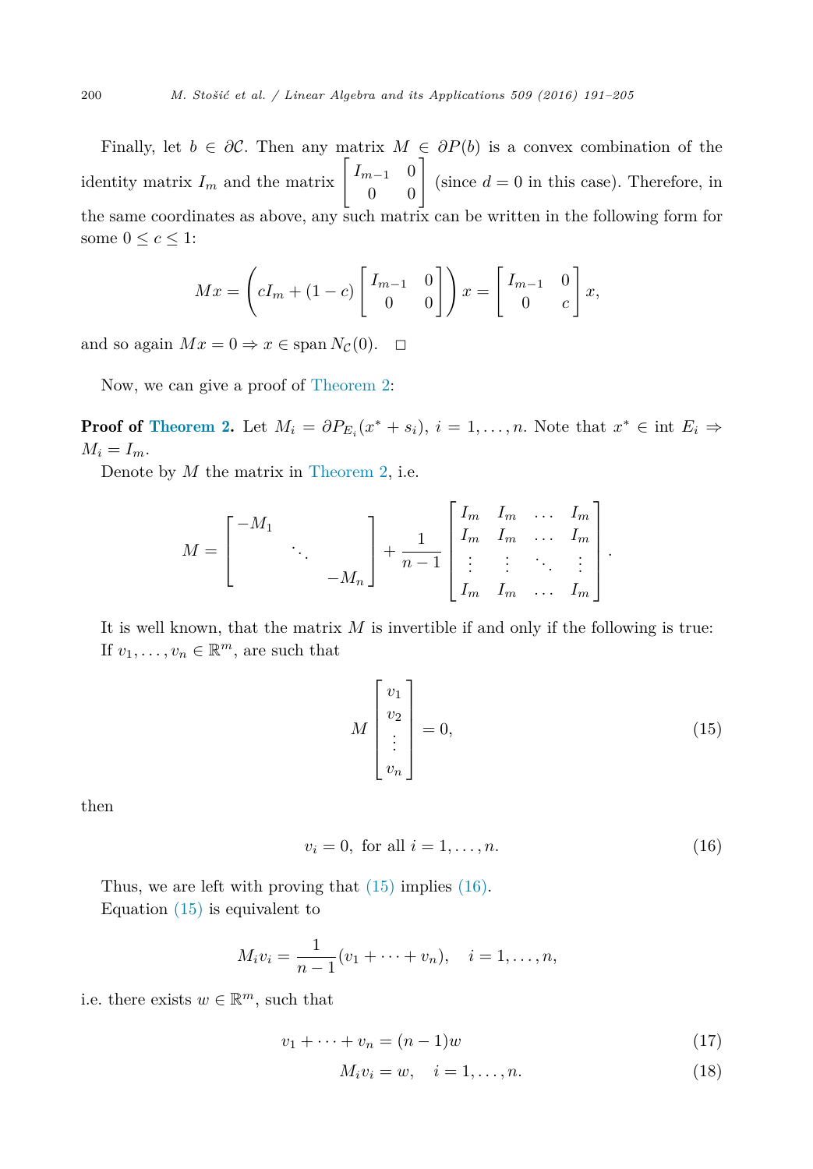<span id="page-9-0"></span>Finally, let  $b \in \partial C$ . Then any matrix  $M \in \partial P(b)$  is a convex combination of the identity matrix  $I_m$  and the matrix  $\begin{bmatrix} I_{m-1} & 0 \\ 0 & 0 \end{bmatrix}$  (since  $d = 0$  in this case). Therefore, in the same coordinates as above, any such matrix can be written in the following form for some  $0 \leq c \leq 1$ :

$$
Mx = \left(cI_m + (1-c)\begin{bmatrix}I_{m-1} & 0\\ 0 & 0\end{bmatrix}\right)x = \begin{bmatrix}I_{m-1} & 0\\ 0 & c\end{bmatrix}x,
$$

and so again  $Mx = 0 \Rightarrow x \in \text{span } N_c(0)$ .  $\Box$ 

Now, we can give a proof of [Theorem 2:](#page-6-0)

**Proof of [Theorem 2.](#page-6-0)** Let  $M_i = \partial P_{E_i}(x^* + s_i), i = 1, \ldots, n$ . Note that  $x^* \in \text{int } E_i \Rightarrow$  $M_i = I_m$ .

Denote by *M* the matrix in [Theorem 2,](#page-6-0) i.e.

$$
M = \begin{bmatrix} -M_1 & & & \\ & \ddots & & \\ & & -M_n \end{bmatrix} + \frac{1}{n-1} \begin{bmatrix} I_m & I_m & \dots & I_m \\ I_m & I_m & \dots & I_m \\ \vdots & \vdots & \ddots & \vdots \\ I_m & I_m & \dots & I_m \end{bmatrix}.
$$

It is well known, that the matrix *M* is invertible if and only if the following is true: If  $v_1, \ldots, v_n \in \mathbb{R}^m$ , are such that

$$
M\begin{bmatrix}v_1\\v_2\\ \vdots\\v_n\end{bmatrix} = 0,\t(15)
$$

then

$$
v_i = 0, \text{ for all } i = 1, \dots, n. \tag{16}
$$

Thus, we are left with proving that (15) implies (16). Equation  $(15)$  is equivalent to

$$
M_i v_i = \frac{1}{n-1}(v_1 + \dots + v_n), \quad i = 1, \dots, n,
$$

i.e. there exists  $w \in \mathbb{R}^m$ , such that

$$
v_1 + \dots + v_n = (n-1)w \tag{17}
$$

$$
M_i v_i = w, \quad i = 1, \dots, n. \tag{18}
$$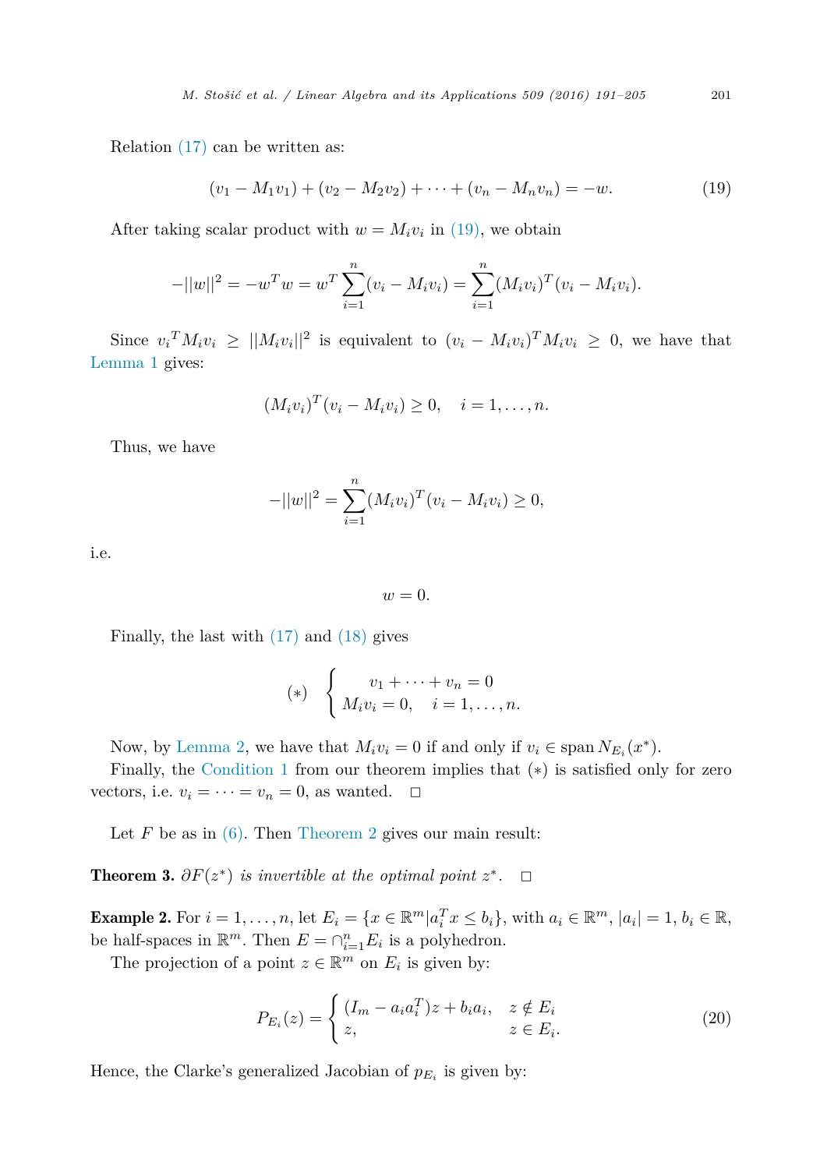Relation [\(17\)](#page-9-0) can be written as:

$$
(v_1 - M_1v_1) + (v_2 - M_2v_2) + \dots + (v_n - M_nv_n) = -w.
$$
 (19)

After taking scalar product with  $w = M_i v_i$  in (19), we obtain

$$
-||w||^2 = -w^T w = w^T \sum_{i=1}^n (v_i - M_i v_i) = \sum_{i=1}^n (M_i v_i)^T (v_i - M_i v_i).
$$

Since  $v_i^T M_i v_i \geq ||M_i v_i||^2$  is equivalent to  $(v_i - M_i v_i)^T M_i v_i \geq 0$ , we have that [Lemma 1](#page-6-0) gives:

$$
(M_i v_i)^T (v_i - M_i v_i) \geq 0, \quad i = 1, \dots, n.
$$

Thus, we have

$$
-||w||^2 = \sum_{i=1}^n (M_i v_i)^T (v_i - M_i v_i) \ge 0,
$$

i.e.

 $w = 0$ .

Finally, the last with [\(17\)](#page-9-0) and [\(18\)](#page-9-0) gives

(\*) 
$$
\begin{cases} v_1 + \cdots + v_n = 0 \\ M_i v_i = 0, \quad i = 1, \dots, n. \end{cases}
$$

Now, by [Lemma 2,](#page-7-0) we have that  $M_i v_i = 0$  if and only if  $v_i \in \text{span } N_{E_i}(x^*)$ .

Finally, the [Condition](#page-5-0) 1 from our theorem implies that (∗) is satisfied only for zero vectors, i.e.  $v_i = \cdots = v_n = 0$ , as wanted.  $\Box$ 

Let  $F$  be as in  $(6)$ . Then [Theorem 2](#page-6-0) gives our main result:

**Theorem 3.**  $\partial F(z^*)$  *is invertible at the optimal point*  $z^*$ .  $\Box$ 

**Example 2.** For  $i = 1, ..., n$ , let  $E_i = \{x \in \mathbb{R}^m | a_i^T x \le b_i\}$ , with  $a_i \in \mathbb{R}^m$ ,  $|a_i| = 1, b_i \in \mathbb{R}$ , be half-spaces in  $\mathbb{R}^m$ . Then  $E = \bigcap_{i=1}^n E_i$  is a polyhedron.

The projection of a point  $z \in \mathbb{R}^m$  on  $E_i$  is given by:

$$
P_{E_i}(z) = \begin{cases} (I_m - a_i a_i^T) z + b_i a_i, & z \notin E_i \\ z, & z \in E_i. \end{cases}
$$
 (20)

Hence, the Clarke's generalized Jacobian of  $p_{E_i}$  is given by: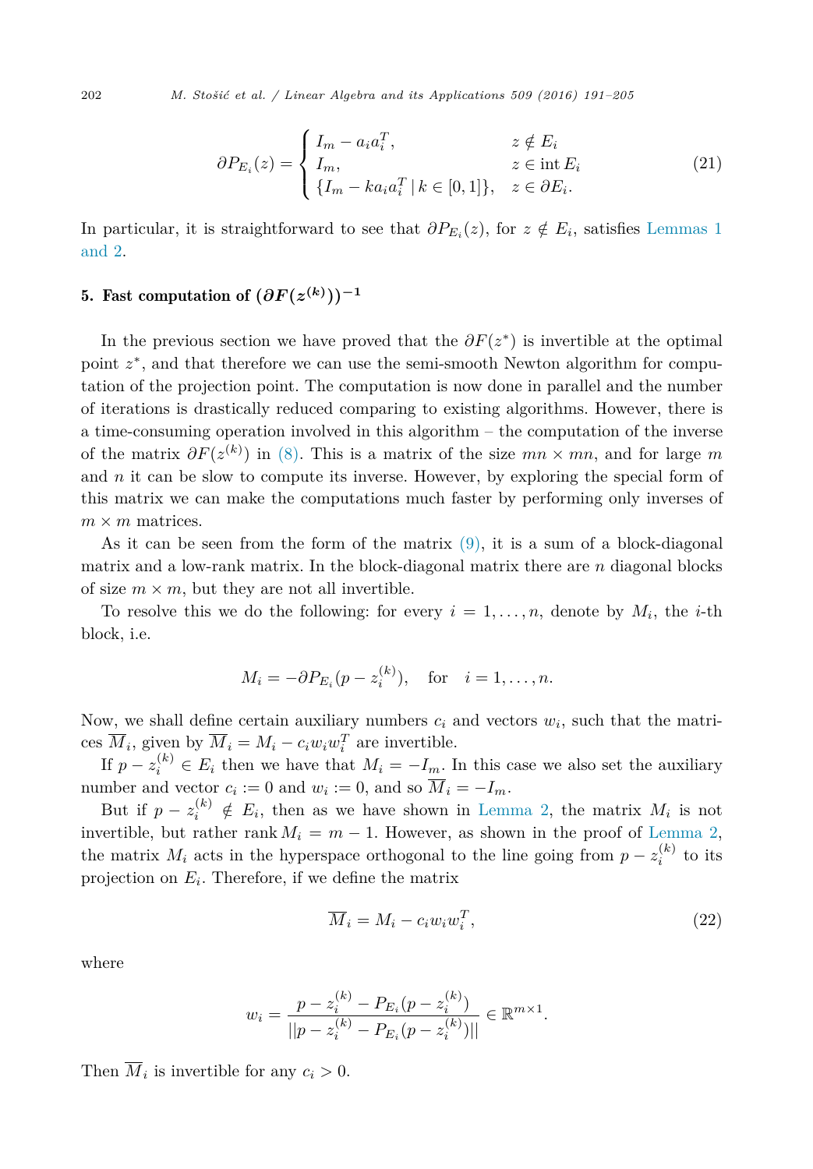$$
\partial P_{E_i}(z) = \begin{cases} I_m - a_i a_i^T, & z \notin E_i \\ I_m, & z \in \text{int } E_i \\ \{I_m - k a_i a_i^T \mid k \in [0, 1]\}, & z \in \partial E_i. \end{cases}
$$
(21)

In particular, it is straightforward to see that  $\partial P_{E_i}(z)$ , for  $z \notin E_i$ , satisfies [Lemmas 1](#page-6-0) [and](#page-6-0) 2.

## 5. Fast computation of  $(\partial F(z^{(k)}))^{-1}$

In the previous section we have proved that the  $\partial F(z^*)$  is invertible at the optimal point  $z^*$ , and that therefore we can use the semi-smooth Newton algorithm for computation of the projection point. The computation is now done in parallel and the number of iterations is drastically reduced comparing to existing algorithms. However, there is a time-consuming operation involved in this algorithm – the computation of the inverse of the matrix *∂F*(*z*(*k*) ) in [\(8\).](#page-5-0) This is a matrix of the size *mn* × *mn*, and for large *m* and *n* it can be slow to compute its inverse. However, by exploring the special form of this matrix we can make the computations much faster by performing only inverses of  $m \times m$  matrices.

As it can be seen from the form of the matrix  $(9)$ , it is a sum of a block-diagonal matrix and a low-rank matrix. In the block-diagonal matrix there are *n* diagonal blocks of size  $m \times m$ , but they are not all invertible.

To resolve this we do the following: for every  $i = 1, \ldots, n$ , denote by  $M_i$ , the *i*-th block, i.e.

$$
M_i = -\partial P_{E_i}(p - z_i^{(k)}), \quad \text{for} \quad i = 1, \dots, n.
$$

Now, we shall define certain auxiliary numbers  $c_i$  and vectors  $w_i$ , such that the matrices  $\overline{M}_i$ , given by  $\overline{M}_i = M_i - c_i w_i w_i^T$  are invertible.

If  $p - z_i^{(k)} \in E_i$  then we have that  $M_i = -I_{m_i}$ . In this case we also set the auxiliary number and vector  $c_i := 0$  and  $w_i := 0$ , and so  $\overline{M}_i = -I_m$ .

But if  $p - z_i^{(k)} \notin E_i$ , then as we have shown in [Lemma 2,](#page-7-0) the matrix  $M_i$  is not invertible, but rather rank  $M_i = m - 1$ . However, as shown in the proof of [Lemma 2,](#page-7-0) the matrix  $M_i$  acts in the hyperspace orthogonal to the line going from  $p - z_i^{(k)}$  to its projection on  $E_i$ . Therefore, if we define the matrix

$$
\overline{M}_i = M_i - c_i w_i w_i^T,\tag{22}
$$

where

$$
w_i = \frac{p - z_i^{(k)} - P_{E_i}(p - z_i^{(k)})}{||p - z_i^{(k)} - P_{E_i}(p - z_i^{(k)})||} \in \mathbb{R}^{m \times 1}.
$$

Then  $\overline{M}_i$  is invertible for any  $c_i > 0$ .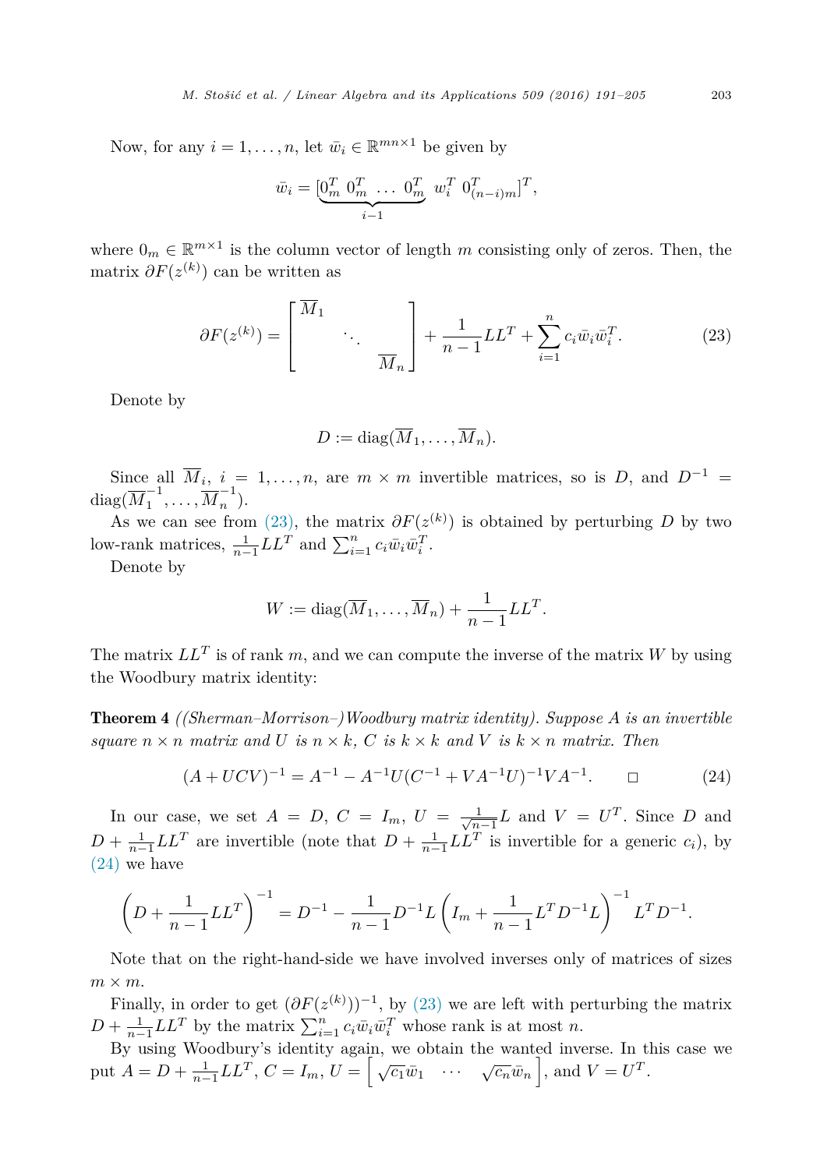Now, for any  $i = 1, \ldots, n$ , let  $\bar{w}_i \in \mathbb{R}^{mn \times 1}$  be given by

$$
\bar{w}_i = \left[\underbrace{0_m^T \ 0_m^T \ \dots \ 0_m^T}_{i-1} \ w_i^T \ 0_{(n-i)m}^T\right]^T,
$$

where  $0_m \in \mathbb{R}^{m \times 1}$  is the column vector of length *m* consisting only of zeros. Then, the matrix  $\partial F(z^{(k)})$  can be written as

$$
\partial F(z^{(k)}) = \begin{bmatrix} \overline{M}_1 & & \\ & \ddots & \\ & & \overline{M}_n \end{bmatrix} + \frac{1}{n-1} L L^T + \sum_{i=1}^n c_i \bar{w}_i \bar{w}_i^T.
$$
 (23)

Denote by

$$
D := \operatorname{diag}(\overline{M}_1, \ldots, \overline{M}_n).
$$

Since all  $\overline{M}_i$ ,  $i = 1, \ldots, n$ , are  $m \times m$  invertible matrices, so is *D*, and  $D^{-1} =$  $diag(\overline{M}_1^{-1}, \ldots, \overline{M}_n^{-1}).$ 

As we can see from (23), the matrix  $\partial F(z^{(k)})$  is obtained by perturbing *D* by two low-rank matrices,  $\frac{1}{n-1}LL^T$  and  $\sum_{i=1}^n c_i \bar{w}_i \bar{w}_i^T$ .

Denote by

$$
W := \text{diag}(\overline{M}_1, \dots, \overline{M}_n) + \frac{1}{n-1}LL^T.
$$

The matrix *LL<sup>T</sup>* is of rank *m*, and we can compute the inverse of the matrix *W* by using the Woodbury matrix identity:

Theorem 4 *((Sherman–Morrison–)Woodbury matrix identity). Suppose A is an invertible square*  $n \times n$  *matrix* and *U is*  $n \times k$ , *C is*  $k \times k$  *and V is*  $k \times n$  *matrix. Then* 

$$
(A + UCV)^{-1} = A^{-1} - A^{-1}U(C^{-1} + VA^{-1}U)^{-1}VA^{-1}.\qquad \Box \tag{24}
$$

In our case, we set  $A = D$ ,  $C = I_m$ ,  $U = \frac{1}{\sqrt{n-1}}L$  and  $V = U^T$ . Since *D* and  $D + \frac{1}{n-1}LL^T$  are invertible (note that  $D + \frac{1}{n-1}LL^T$  is invertible for a generic  $c_i$ ), by (24) we have

$$
\left(D + \frac{1}{n-1}LL^{T}\right)^{-1} = D^{-1} - \frac{1}{n-1}D^{-1}L\left(I_{m} + \frac{1}{n-1}L^{T}D^{-1}L\right)^{-1}L^{T}D^{-1}.
$$

Note that on the right-hand-side we have involved inverses only of matrices of sizes  $m \times m$ .

Finally, in order to get  $(\partial F(z^{(k)}))^{-1}$ , by (23) we are left with perturbing the matrix  $D + \frac{1}{n-1}LL^T$  by the matrix  $\sum_{i=1}^n c_i \bar{w}_i \bar{w}_i^T$  whose rank is at most *n*.

By using Woodbury's identity again, we obtain the wanted inverse. In this case we put  $A = D + \frac{1}{n-1}LL^T$ ,  $C = I_m$ ,  $U = \left[\sqrt{c_1} \bar{w}_1 \cdots \sqrt{c_n} \bar{w}_n\right]$ , and  $V = U^T$ .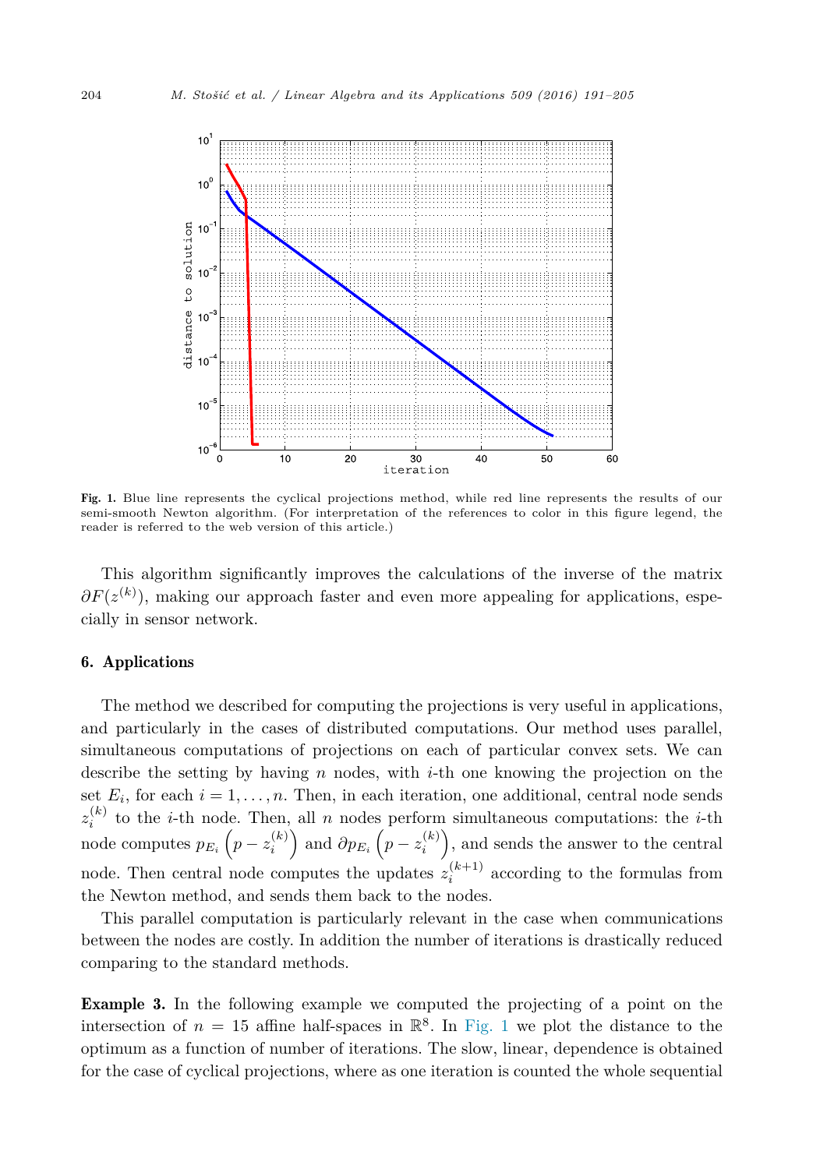

Fig. 1. Blue line represents the cyclical projections method, while red line represents the results of our semi-smooth Newton algorithm. (For interpretation of the references to color in this figure legend, the reader is referred to the web version of this article.)

This algorithm significantly improves the calculations of the inverse of the matrix  $\partial F(z^{(k)})$ , making our approach faster and even more appealing for applications, especially in sensor network.

## 6. Applications

The method we described for computing the projections is very useful in applications, and particularly in the cases of distributed computations. Our method uses parallel, simultaneous computations of projections on each of particular convex sets. We can describe the setting by having *n* nodes, with *i*-th one knowing the projection on the set  $E_i$ , for each  $i = 1, \ldots, n$ . Then, in each iteration, one additional, central node sends  $z_i^{(k)}$  to the *i*-th node. Then, all *n* nodes perform simultaneous computations: the *i*-th node computes  $p_{E_i}\left(p - z_i^{(k)}\right)$  and  $\partial p_{E_i}\left(p - z_i^{(k)}\right)$ , and sends the answer to the central node. Then central node computes the updates  $z_i^{(k+1)}$  according to the formulas from the Newton method, and sends them back to the nodes.

This parallel computation is particularly relevant in the case when communications between the nodes are costly. In addition the number of iterations is drastically reduced comparing to the standard methods.

Example 3. In the following example we computed the projecting of a point on the intersection of  $n = 15$  affine half-spaces in  $\mathbb{R}^8$ . In Fig. 1 we plot the distance to the optimum as a function of number of iterations. The slow, linear, dependence is obtained for the case of cyclical projections, where as one iteration is counted the whole sequential